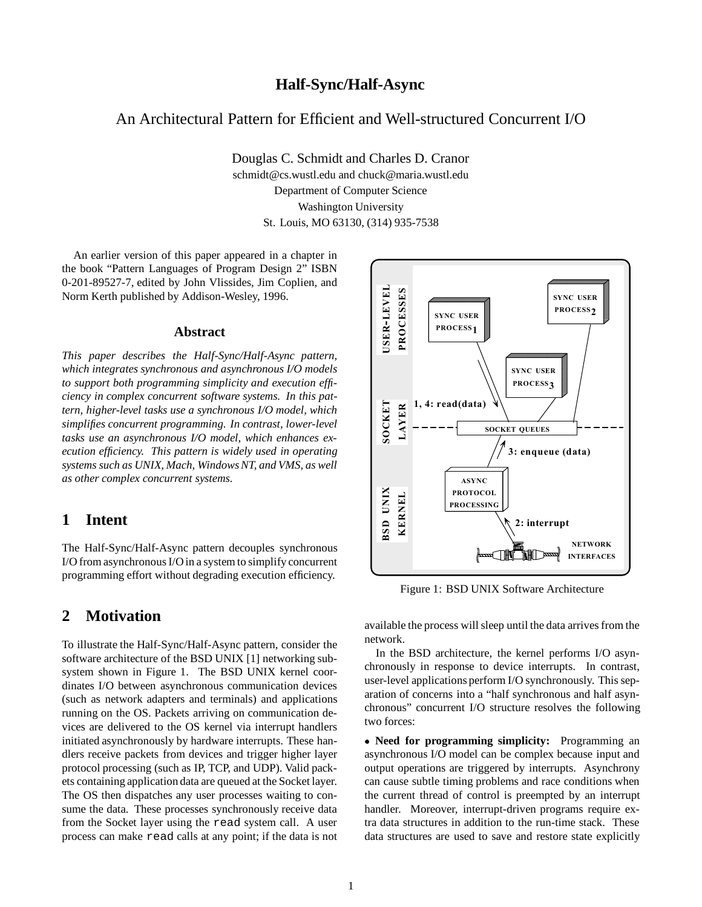### **Half-Sync/Half-Async**

### An Architectural Pattern for Efficient and Well-structured Concurrent I/O

Douglas C. Schmidt and Charles D. Cranor schmidt@cs.wustl.edu and chuck@maria.wustl.edu Department of Computer Science Washington University St. Louis, MO 63130, (314) 935-7538

An earlier version of this paper appeared in a chapter in the book "Pattern Languages of Program Design 2" ISBN 0-201-89527-7, edited by John Vlissides, Jim Coplien, and Norm Kerth published by Addison-Wesley, 1996.

#### **Abstract**

*This paper describes the Half-Sync/Half-Async pattern, which integrates synchronous and asynchronous I/O models to support both programming simplicity and execution efficiency in complex concurrent software systems. In this pattern, higher-level tasks use a synchronous I/O model, which simplifies concurrent programming. In contrast, lower-level tasks use an asynchronous I/O model, which enhances execution efficiency. This pattern is widely used in operating systems such as UNIX, Mach, Windows NT, and VMS, as well as other complex concurrent systems.*

### **1 Intent**

The Half-Sync/Half-Async pattern decouples synchronous I/O from asynchronous I/O in a system to simplify concurrent programming effort without degrading execution efficiency.

### **2 Motivation**

To illustrate the Half-Sync/Half-Async pattern, consider the software architecture of the BSD UNIX [1] networking subsystem shown in Figure 1. The BSD UNIX kernel coordinates I/O between asynchronous communication devices (such as network adapters and terminals) and applications running on the OS. Packets arriving on communication devices are delivered to the OS kernel via interrupt handlers initiated asynchronously by hardware interrupts. These handlers receive packets from devices and trigger higher layer protocol processing (such as IP, TCP, and UDP). Valid packets containing application data are queued at the Socket layer. The OS then dispatches any user processes waiting to consume the data. These processes synchronously receive data from the Socket layer using the read system call. A user process can make read calls at any point; if the data is not



Figure 1: BSD UNIX Software Architecture

available the process will sleep until the data arrives from the network.

In the BSD architecture, the kernel performs I/O asynchronously in response to device interrupts. In contrast, user-level applications perform I/O synchronously. This separation of concerns into a "half synchronous and half asynchronous" concurrent I/O structure resolves the following two forces:

 **Need for programming simplicity:** Programming an asynchronous I/O model can be complex because input and output operations are triggered by interrupts. Asynchrony can cause subtle timing problems and race conditions when the current thread of control is preempted by an interrupt handler. Moreover, interrupt-driven programs require extra data structures in addition to the run-time stack. These data structures are used to save and restore state explicitly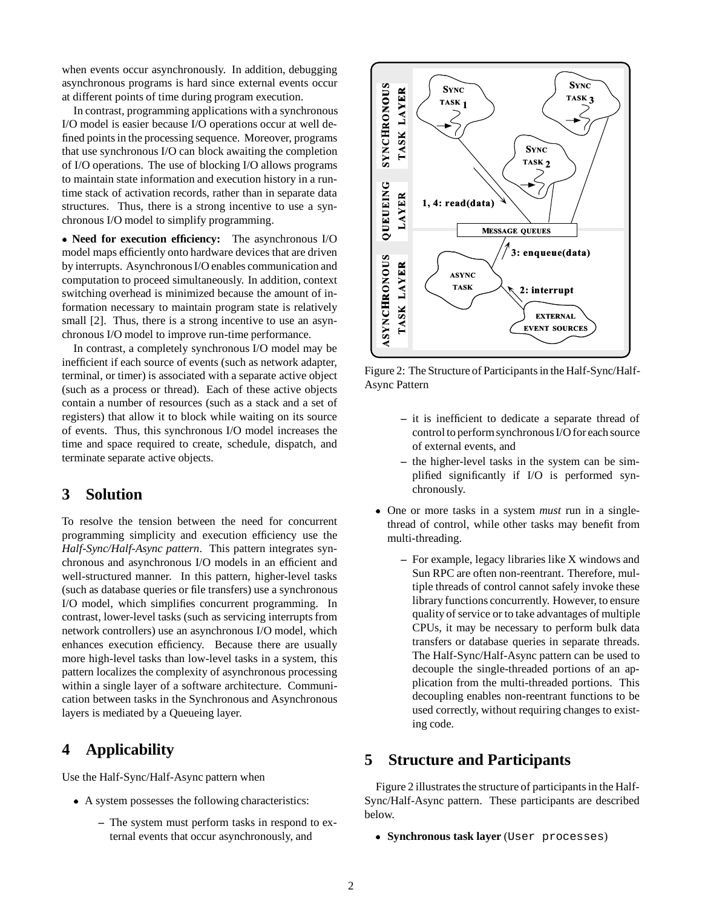when events occur asynchronously. In addition, debugging asynchronous programs is hard since external events occur at different points of time during program execution.

In contrast, programming applications with a synchronous I/O model is easier because I/O operations occur at well defined points in the processing sequence. Moreover, programs that use synchronous I/O can block awaiting the completion of I/O operations. The use of blocking I/O allows programs to maintain state information and execution history in a runtime stack of activation records, rather than in separate data structures. Thus, there is a strong incentive to use a synchronous I/O model to simplify programming.

• **Need for execution efficiency:** The asynchronous I/O model maps efficiently onto hardware devices that are driven by interrupts. Asynchronous I/O enables communication and computation to proceed simultaneously. In addition, context switching overhead is minimized because the amount of information necessary to maintain program state is relatively small [2]. Thus, there is a strong incentive to use an asynchronous I/O model to improve run-time performance.

In contrast, a completely synchronous I/O model may be inefficient if each source of events (such as network adapter, terminal, or timer) is associated with a separate active object (such as a process or thread). Each of these active objects contain a number of resources (such as a stack and a set of registers) that allow it to block while waiting on its source of events. Thus, this synchronous I/O model increases the time and space required to create, schedule, dispatch, and terminate separate active objects.

### **3 Solution**

To resolve the tension between the need for concurrent programming simplicity and execution efficiency use the *Half-Sync/Half-Async pattern*. This pattern integrates synchronous and asynchronous I/O models in an efficient and well-structured manner. In this pattern, higher-level tasks (such as database queries or file transfers) use a synchronous I/O model, which simplifies concurrent programming. In contrast, lower-level tasks (such as servicing interrupts from network controllers) use an asynchronous I/O model, which enhances execution efficiency. Because there are usually more high-level tasks than low-level tasks in a system, this pattern localizes the complexity of asynchronous processing within a single layer of a software architecture. Communication between tasks in the Synchronous and Asynchronous layers is mediated by a Queueing layer.

## **4 Applicability**

Use the Half-Sync/Half-Async pattern when

- A system possesses the following characteristics:
	- **–** The system must perform tasks in respond to external events that occur asynchronously, and



Figure 2: The Structure of Participants in the Half-Sync/Half-Async Pattern

- **–** it is inefficient to dedicate a separate thread of control to perform synchronous I/O for each source of external events, and
- **–** the higher-level tasks in the system can be simplified significantly if I/O is performed synchronously.
- One or more tasks in a system *must* run in a singlethread of control, while other tasks may benefit from multi-threading.
	- **–** For example, legacy libraries like X windows and Sun RPC are often non-reentrant. Therefore, multiple threads of control cannot safely invoke these library functions concurrently. However, to ensure quality of service or to take advantages of multiple CPUs, it may be necessary to perform bulk data transfers or database queries in separate threads. The Half-Sync/Half-Async pattern can be used to decouple the single-threaded portions of an application from the multi-threaded portions. This decoupling enables non-reentrant functions to be used correctly, without requiring changes to existing code.

# **5 Structure and Participants**

Figure 2 illustrates the structure of participants in the Half-Sync/Half-Async pattern. These participants are described below.

**Synchronous task layer** (User processes)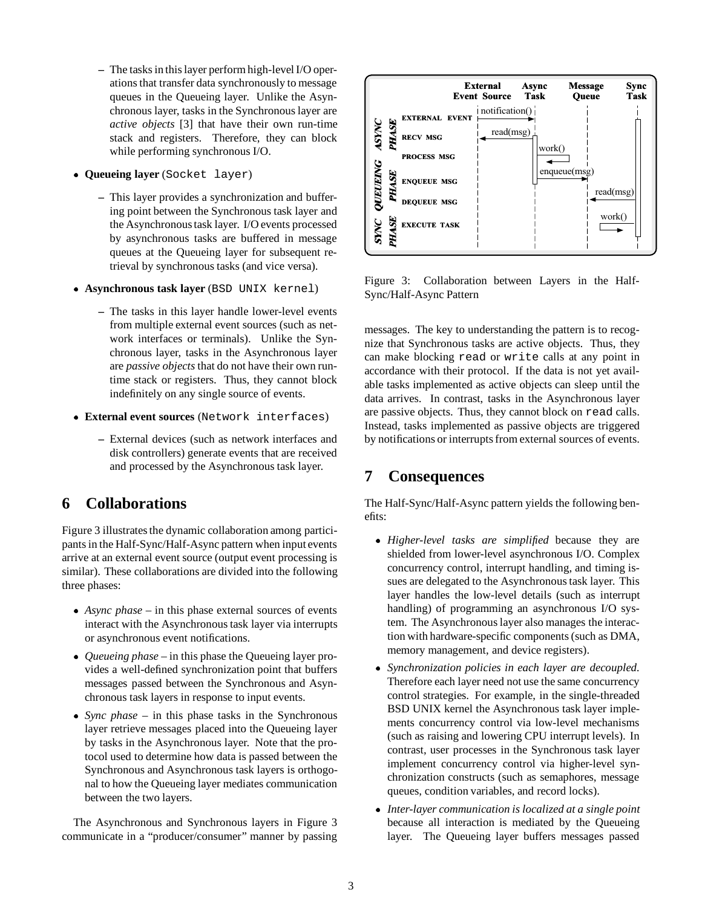- **–** The tasks in this layer perform high-level I/O operations that transfer data synchronously to message queues in the Queueing layer. Unlike the Asynchronous layer, tasks in the Synchronous layer are *active objects* [3] that have their own run-time stack and registers. Therefore, they can block while performing synchronous I/O.
- **Queueing layer** (Socket layer)
	- **–** This layer provides a synchronization and buffering point between the Synchronous task layer and the Asynchronous task layer. I/O events processed by asynchronous tasks are buffered in message queues at the Queueing layer for subsequent retrieval by synchronous tasks (and vice versa).
- **Asynchronous task layer** (BSD UNIX kernel)
	- **–** The tasks in this layer handle lower-level events from multiple external event sources (such as network interfaces or terminals). Unlike the Synchronous layer, tasks in the Asynchronous layer are *passive objects* that do not have their own runtime stack or registers. Thus, they cannot block indefinitely on any single source of events.
- **External event sources** (Network interfaces)
	- **–** External devices (such as network interfaces and disk controllers) generate events that are received and processed by the Asynchronous task layer.

# **6 Collaborations**

Figure 3 illustrates the dynamic collaboration among participants in the Half-Sync/Half-Async pattern when input events arrive at an external event source (output event processing is similar). These collaborations are divided into the following three phases:

- *Async phase* in this phase external sources of events interact with the Asynchronous task layer via interrupts or asynchronous event notifications.
- *Queueing phase* in this phase the Queueing layer provides a well-defined synchronization point that buffers messages passed between the Synchronous and Asynchronous task layers in response to input events.
- *Sync phase* in this phase tasks in the Synchronous layer retrieve messages placed into the Queueing layer by tasks in the Asynchronous layer. Note that the protocol used to determine how data is passed between the Synchronous and Asynchronous task layers is orthogonal to how the Queueing layer mediates communication between the two layers.

The Asynchronous and Synchronous layers in Figure 3 communicate in a "producer/consumer" manner by passing



Figure 3: Collaboration between Layers in the Half-Sync/Half-Async Pattern

messages. The key to understanding the pattern is to recognize that Synchronous tasks are active objects. Thus, they can make blocking read or write calls at any point in accordance with their protocol. If the data is not yet available tasks implemented as active objects can sleep until the data arrives. In contrast, tasks in the Asynchronous layer are passive objects. Thus, they cannot block on read calls. Instead, tasks implemented as passive objects are triggered by notifications or interrupts from external sources of events.

# **7 Consequences**

The Half-Sync/Half-Async pattern yields the following benefits:

- *Higher-level tasks are simplified* because they are shielded from lower-level asynchronous I/O. Complex concurrency control, interrupt handling, and timing issues are delegated to the Asynchronous task layer. This layer handles the low-level details (such as interrupt handling) of programming an asynchronous I/O system. The Asynchronous layer also manages the interaction with hardware-specific components (such as DMA, memory management, and device registers).
- *Synchronization policies in each layer are decoupled.* Therefore each layer need not use the same concurrency control strategies. For example, in the single-threaded BSD UNIX kernel the Asynchronous task layer implements concurrency control via low-level mechanisms (such as raising and lowering CPU interrupt levels). In contrast, user processes in the Synchronous task layer implement concurrency control via higher-level synchronization constructs (such as semaphores, message queues, condition variables, and record locks).
- *Inter-layer communication is localized at a single point* because all interaction is mediated by the Queueing layer. The Queueing layer buffers messages passed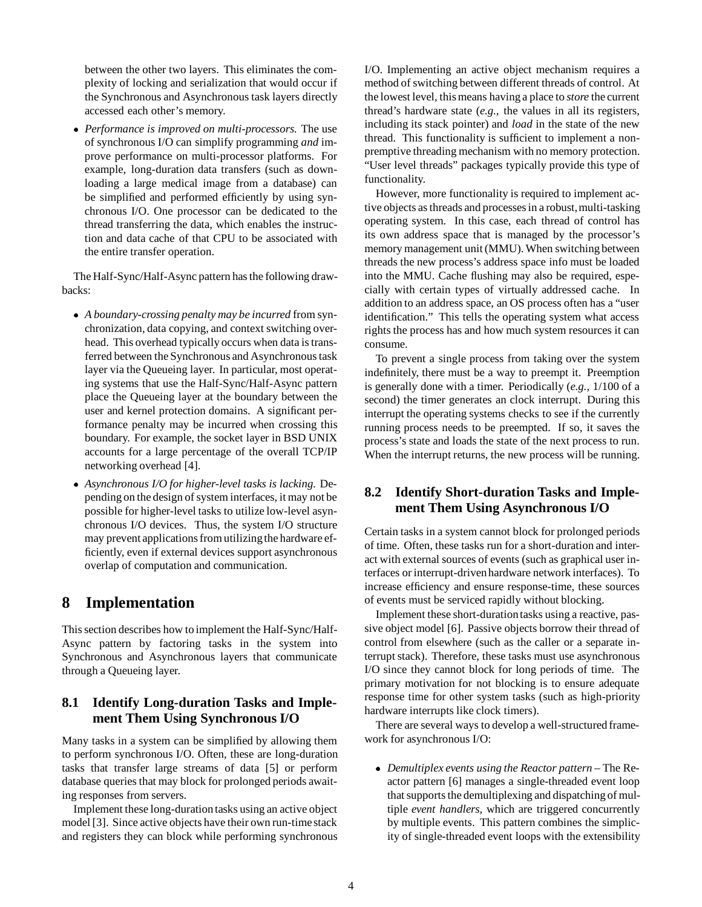between the other two layers. This eliminates the complexity of locking and serialization that would occur if the Synchronous and Asynchronous task layers directly accessed each other's memory.

 *Performance is improved on multi-processors.* The use of synchronous I/O can simplify programming *and* improve performance on multi-processor platforms. For example, long-duration data transfers (such as downloading a large medical image from a database) can be simplified and performed efficiently by using synchronous I/O. One processor can be dedicated to the thread transferring the data, which enables the instruction and data cache of that CPU to be associated with the entire transfer operation.

The Half-Sync/Half-Async pattern has the following drawbacks:

- *A boundary-crossing penalty may be incurred* from synchronization, data copying, and context switching overhead. This overhead typically occurs when data is transferred between the Synchronous and Asynchronous task layer via the Queueing layer. In particular, most operating systems that use the Half-Sync/Half-Async pattern place the Queueing layer at the boundary between the user and kernel protection domains. A significant performance penalty may be incurred when crossing this boundary. For example, the socket layer in BSD UNIX accounts for a large percentage of the overall TCP/IP networking overhead [4].
- *Asynchronous I/O for higher-level tasks is lacking.* Depending on the design of system interfaces, it may not be possible for higher-level tasks to utilize low-level asynchronous I/O devices. Thus, the system I/O structure may prevent applications from utilizing the hardware efficiently, even if external devices support asynchronous overlap of computation and communication.

## **8 Implementation**

This section describes how to implement the Half-Sync/Half-Async pattern by factoring tasks in the system into Synchronous and Asynchronous layers that communicate through a Queueing layer.

### **8.1 Identify Long-duration Tasks and Implement Them Using Synchronous I/O**

Many tasks in a system can be simplified by allowing them to perform synchronous I/O. Often, these are long-duration tasks that transfer large streams of data [5] or perform database queries that may block for prolonged periods awaiting responses from servers.

Implement these long-durationtasks using an active object model [3]. Since active objects have their own run-time stack and registers they can block while performing synchronous I/O. Implementing an active object mechanism requires a method of switching between different threads of control. At the lowest level, this means having a place to *store* the current thread's hardware state (*e.g.,* the values in all its registers, including its stack pointer) and *load* in the state of the new thread. This functionality is sufficient to implement a nonpremptive threading mechanism with no memory protection. "User level threads" packages typically provide this type of functionality.

However, more functionality is required to implement active objects as threads and processes in a robust, multi-tasking operating system. In this case, each thread of control has its own address space that is managed by the processor's memory management unit (MMU). When switching between threads the new process's address space info must be loaded into the MMU. Cache flushing may also be required, especially with certain types of virtually addressed cache. In addition to an address space, an OS process often has a "user identification." This tells the operating system what access rights the process has and how much system resources it can consume.

To prevent a single process from taking over the system indefinitely, there must be a way to preempt it. Preemption is generally done with a timer. Periodically (*e.g.,* 1/100 of a second) the timer generates an clock interrupt. During this interrupt the operating systems checks to see if the currently running process needs to be preempted. If so, it saves the process's state and loads the state of the next process to run. When the interrupt returns, the new process will be running.

### **8.2 Identify Short-duration Tasks and Implement Them Using Asynchronous I/O**

Certain tasks in a system cannot block for prolonged periods of time. Often, these tasks run for a short-duration and interact with external sources of events (such as graphical user interfaces or interrupt-drivenhardware network interfaces). To increase efficiency and ensure response-time, these sources of events must be serviced rapidly without blocking.

Implement these short-durationtasks using a reactive, passive object model [6]. Passive objects borrow their thread of control from elsewhere (such as the caller or a separate interrupt stack). Therefore, these tasks must use asynchronous I/O since they cannot block for long periods of time. The primary motivation for not blocking is to ensure adequate response time for other system tasks (such as high-priority hardware interrupts like clock timers).

There are several ways to develop a well-structured framework for asynchronous I/O:

 *Demultiplex events using the Reactor pattern* – The Reactor pattern [6] manages a single-threaded event loop that supports the demultiplexing and dispatching of multiple *event handlers*, which are triggered concurrently by multiple events. This pattern combines the simplicity of single-threaded event loops with the extensibility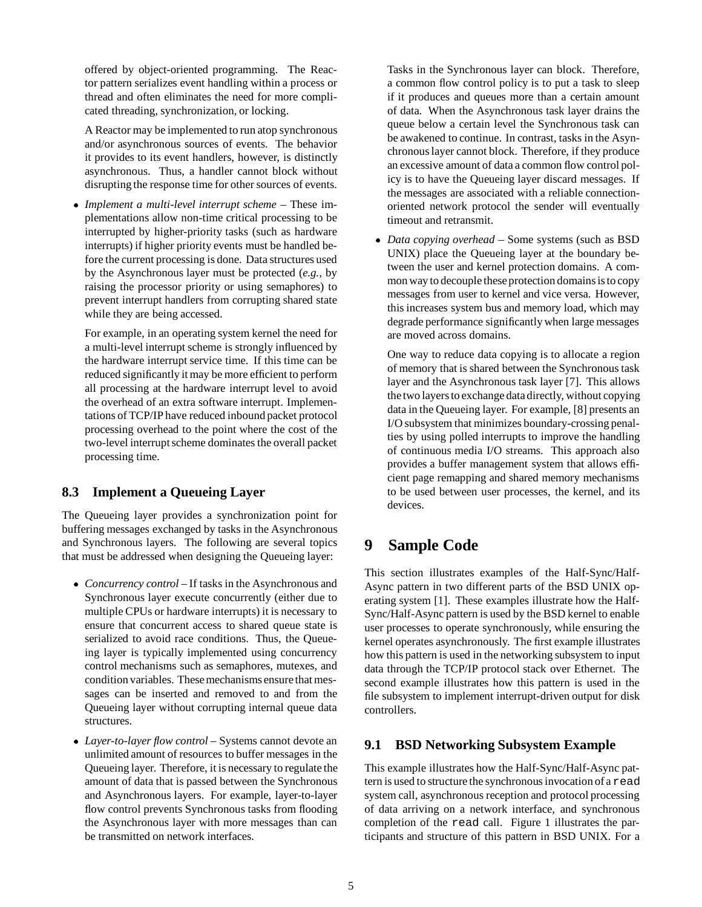offered by object-oriented programming. The Reactor pattern serializes event handling within a process or thread and often eliminates the need for more complicated threading, synchronization, or locking.

A Reactor may be implemented to run atop synchronous and/or asynchronous sources of events. The behavior it provides to its event handlers, however, is distinctly asynchronous. Thus, a handler cannot block without disrupting the response time for other sources of events.

 *Implement a multi-level interrupt scheme* – These implementations allow non-time critical processing to be interrupted by higher-priority tasks (such as hardware interrupts) if higher priority events must be handled before the current processing is done. Data structures used by the Asynchronous layer must be protected (*e.g.,* by raising the processor priority or using semaphores) to prevent interrupt handlers from corrupting shared state while they are being accessed.

For example, in an operating system kernel the need for a multi-level interrupt scheme is strongly influenced by the hardware interrupt service time. If this time can be reduced significantly it may be more efficient to perform all processing at the hardware interrupt level to avoid the overhead of an extra software interrupt. Implementations of TCP/IP have reduced inbound packet protocol processing overhead to the point where the cost of the two-level interrupt scheme dominates the overall packet processing time.

### **8.3 Implement a Queueing Layer**

The Queueing layer provides a synchronization point for buffering messages exchanged by tasks in the Asynchronous and Synchronous layers. The following are several topics that must be addressed when designing the Queueing layer:

- *Concurrency control* If tasks in the Asynchronous and Synchronous layer execute concurrently (either due to multiple CPUs or hardware interrupts) it is necessary to ensure that concurrent access to shared queue state is serialized to avoid race conditions. Thus, the Queueing layer is typically implemented using concurrency control mechanisms such as semaphores, mutexes, and condition variables. These mechanisms ensure that messages can be inserted and removed to and from the Queueing layer without corrupting internal queue data structures.
- *Layer-to-layer flow control* Systems cannot devote an unlimited amount of resources to buffer messages in the Queueing layer. Therefore, it is necessary to regulate the amount of data that is passed between the Synchronous and Asynchronous layers. For example, layer-to-layer flow control prevents Synchronous tasks from flooding the Asynchronous layer with more messages than can be transmitted on network interfaces.

Tasks in the Synchronous layer can block. Therefore, a common flow control policy is to put a task to sleep if it produces and queues more than a certain amount of data. When the Asynchronous task layer drains the queue below a certain level the Synchronous task can be awakened to continue. In contrast, tasks in the Asynchronous layer cannot block. Therefore, if they produce an excessive amount of data a common flow control policy is to have the Queueing layer discard messages. If the messages are associated with a reliable connectionoriented network protocol the sender will eventually timeout and retransmit.

 *Data copying overhead* – Some systems (such as BSD UNIX) place the Queueing layer at the boundary between the user and kernel protection domains. A common way to decouple these protection domains is to copy messages from user to kernel and vice versa. However, this increases system bus and memory load, which may degrade performance significantly when large messages are moved across domains.

One way to reduce data copying is to allocate a region of memory that is shared between the Synchronous task layer and the Asynchronous task layer [7]. This allows the two layers to exchange data directly, without copying data in the Queueing layer. For example, [8] presents an I/O subsystem that minimizes boundary-crossing penalties by using polled interrupts to improve the handling of continuous media I/O streams. This approach also provides a buffer management system that allows efficient page remapping and shared memory mechanisms to be used between user processes, the kernel, and its devices.

## **9 Sample Code**

This section illustrates examples of the Half-Sync/Half-Async pattern in two different parts of the BSD UNIX operating system [1]. These examples illustrate how the Half-Sync/Half-Async pattern is used by the BSD kernel to enable user processes to operate synchronously, while ensuring the kernel operates asynchronously. The first example illustrates how this pattern is used in the networking subsystem to input data through the TCP/IP protocol stack over Ethernet. The second example illustrates how this pattern is used in the file subsystem to implement interrupt-driven output for disk controllers.

### **9.1 BSD Networking Subsystem Example**

This example illustrates how the Half-Sync/Half-Async pattern is used to structure the synchronous invocation of a read system call, asynchronous reception and protocol processing of data arriving on a network interface, and synchronous completion of the read call. Figure 1 illustrates the participants and structure of this pattern in BSD UNIX. For a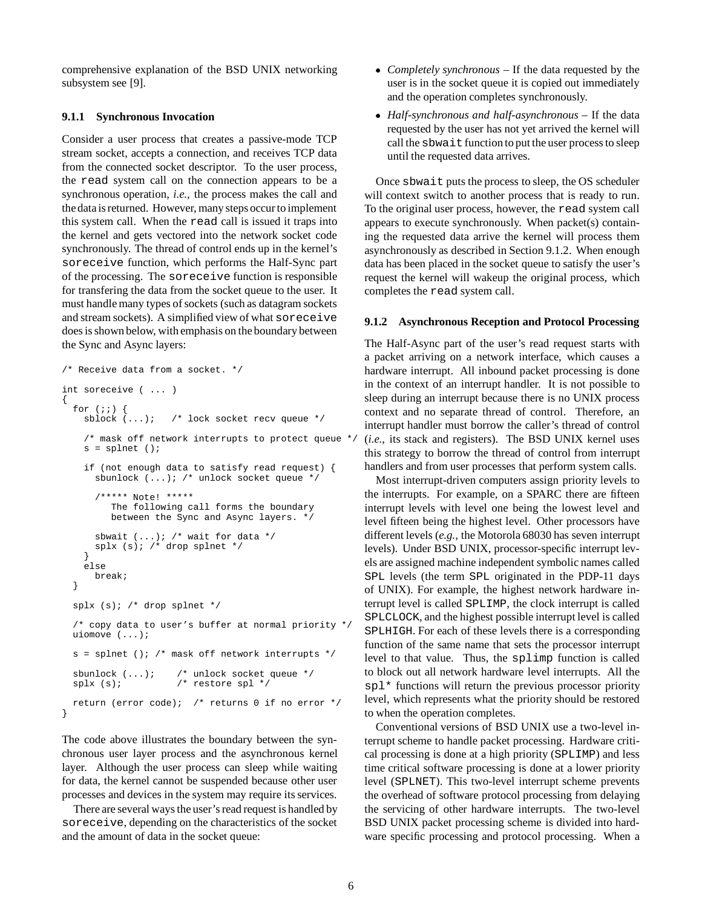comprehensive explanation of the BSD UNIX networking subsystem see [9].

#### **9.1.1 Synchronous Invocation**

Consider a user process that creates a passive-mode TCP stream socket, accepts a connection, and receives TCP data from the connected socket descriptor. To the user process, the read system call on the connection appears to be a synchronous operation, *i.e.,* the process makes the call and the data is returned. However, many steps occur to implement this system call. When the read call is issued it traps into the kernel and gets vectored into the network socket code synchronously. The thread of control ends up in the kernel's soreceive function, which performs the Half-Sync part of the processing. The soreceive function is responsible for transfering the data from the socket queue to the user. It must handle many types of sockets (such as datagram sockets and stream sockets). A simplified view of what soreceive does is shown below, with emphasis on the boundary between the Sync and Async layers:

```
/* Receive data from a socket. */
int soreceive ( ... )
{
  for (i; j) {
    sblock (...); /* lock socket recv queue */
    /* mask off network interrupts to protect queue */
    s = splnet ();
    if (not enough data to satisfy read request) {
      sbunlock (...); /* unlock socket queue */
      /***** Note! *****
         The following call forms the boundary
         between the Sync and Async layers. */
      sbwait (...); /* wait for data */
      splx (s); /* drop splnet */
    }
    else
      break;
  }
  splx (s); /* drop splnet */
  /* copy data to user's buffer at normal priority */
  uiomove (...);
  s = splnet (); /* mask off network interrupts */
  sbunlock (...); /* unlock socket queue */<br>splx (s); /* restore spl */
                      /* restore spl */return (error code); /* returns 0 if no error */
}
```
The code above illustrates the boundary between the synchronous user layer process and the asynchronous kernel layer. Although the user process can sleep while waiting for data, the kernel cannot be suspended because other user processes and devices in the system may require its services.

There are several ways the user's read request is handled by soreceive, depending on the characteristics of the socket and the amount of data in the socket queue:

- *Completely synchronous* If the data requested by the user is in the socket queue it is copied out immediately and the operation completes synchronously.
- *Half-synchronous and half-asynchronous* If the data requested by the user has not yet arrived the kernel will call the sbwait function to put the user process to sleep until the requested data arrives.

Once sbwait puts the process to sleep, the OS scheduler will context switch to another process that is ready to run. To the original user process, however, the read system call appears to execute synchronously. When packet(s) containing the requested data arrive the kernel will process them asynchronously as described in Section 9.1.2. When enough data has been placed in the socket queue to satisfy the user's request the kernel will wakeup the original process, which completes the read system call.

#### **9.1.2 Asynchronous Reception and Protocol Processing**

The Half-Async part of the user's read request starts with a packet arriving on a network interface, which causes a hardware interrupt. All inbound packet processing is done in the context of an interrupt handler. It is not possible to sleep during an interrupt because there is no UNIX process context and no separate thread of control. Therefore, an interrupt handler must borrow the caller's thread of control (*i.e.*, its stack and registers). The BSD UNIX kernel uses this strategy to borrow the thread of control from interrupt handlers and from user processes that perform system calls.

Most interrupt-driven computers assign priority levels to the interrupts. For example, on a SPARC there are fifteen interrupt levels with level one being the lowest level and level fifteen being the highest level. Other processors have different levels (*e.g.,* the Motorola 68030 has seven interrupt levels). Under BSD UNIX, processor-specific interrupt levels are assigned machine independent symbolic names called SPL levels (the term SPL originated in the PDP-11 days of UNIX). For example, the highest network hardware interrupt level is called SPLIMP, the clock interrupt is called SPLCLOCK, and the highest possible interrupt level is called SPLHIGH. For each of these levels there is a corresponding function of the same name that sets the processor interrupt level to that value. Thus, the splimp function is called to block out all network hardware level interrupts. All the spl<sup>\*</sup> functions will return the previous processor priority level, which represents what the priority should be restored to when the operation completes.

Conventional versions of BSD UNIX use a two-level interrupt scheme to handle packet processing. Hardware critical processing is done at a high priority (SPLIMP) and less time critical software processing is done at a lower priority level (SPLNET). This two-level interrupt scheme prevents the overhead of software protocol processing from delaying the servicing of other hardware interrupts. The two-level BSD UNIX packet processing scheme is divided into hardware specific processing and protocol processing. When a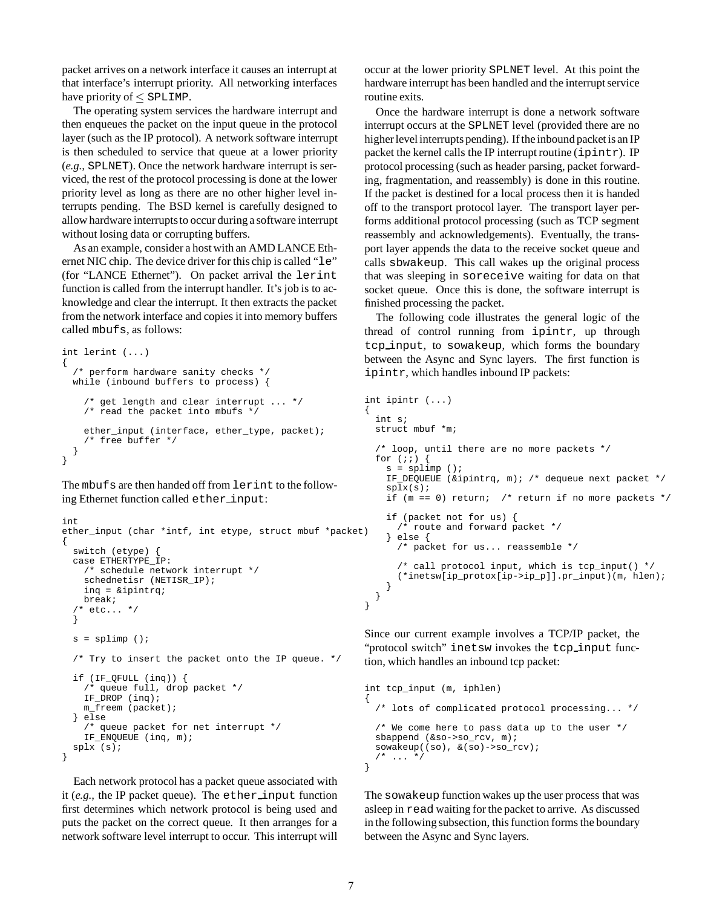packet arrives on a network interface it causes an interrupt at that interface's interrupt priority. All networking interfaces have priority of  $\le$  SPLIMP.

The operating system services the hardware interrupt and then enqueues the packet on the input queue in the protocol layer (such as the IP protocol). A network software interrupt is then scheduled to service that queue at a lower priority (*e.g.,* SPLNET). Once the network hardware interrupt is serviced, the rest of the protocol processing is done at the lower priority level as long as there are no other higher level interrupts pending. The BSD kernel is carefully designed to allow hardware interrupts to occur during a software interrupt without losing data or corrupting buffers.

As an example, consider a host with an AMD LANCE Ethernet NIC chip. The device driver for this chip is called "le" (for "LANCE Ethernet"). On packet arrival the lerint function is called from the interrupt handler. It's job is to acknowledge and clear the interrupt. It then extracts the packet from the network interface and copies it into memory buffers called mbufs, as follows:

```
int lerint (...)
{
  /* perform hardware sanity checks */
  while (inbound buffers to process) {
    /* get length and clear interrupt ... */
    /* read the packet into mbufs */
    ether_input (interface, ether_type, packet);
    /* free buffer */
  }
}
```
The mbufs are then handed off from lerint to the following Ethernet function called ether input:

```
int
ether_input (char *intf, int etype, struct mbuf *packet)
{
  switch (etype)
  case ETHERTYPE_IP:
    /* schedule network interrupt */
    schednetisr (NETISR_IP);
    inq = &ipintrq;
   break;
  /* etc... */
  }
  s = splimp ();
  /* Try to insert the packet onto the IP queue. */if (IF_QFULL (inq)) {
    /* queue full, drop packet */
    IF_DROP (inq);
   m_freem (packet);
  } else
    /* queue packet for net interrupt */
    IF_ENQUEUE (inq, m);
  splx (s);
}
```
Each network protocol has a packet queue associated with it (*e.g.,* the IP packet queue). The ether input function first determines which network protocol is being used and puts the packet on the correct queue. It then arranges for a network software level interrupt to occur. This interrupt will

occur at the lower priority SPLNET level. At this point the hardware interrupt has been handled and the interrupt service routine exits.

Once the hardware interrupt is done a network software interrupt occurs at the SPLNET level (provided there are no higher level interrupts pending). If the inbound packet is an IP packet the kernel calls the IP interrupt routine  $(iprint)$ . IP protocol processing (such as header parsing, packet forwarding, fragmentation, and reassembly) is done in this routine. If the packet is destined for a local process then it is handed off to the transport protocol layer. The transport layer performs additional protocol processing (such as TCP segment reassembly and acknowledgements). Eventually, the transport layer appends the data to the receive socket queue and calls sbwakeup. This call wakes up the original process that was sleeping in soreceive waiting for data on that socket queue. Once this is done, the software interrupt is finished processing the packet.

The following code illustrates the general logic of the thread of control running from ipintr, up through tcp input, to sowakeup, which forms the boundary between the Async and Sync layers. The first function is ipintr, which handles inbound IP packets:

```
int ipintr (...)
{
 int s;
 struct mbuf *m;
  /* loop, until there are no more packets */
 for (i; j) {
   s = splimp ();
    IF DEQUEUE (&ipintrq, m); /* dequeue next packet */
    splx(s);
    if (m == 0) return; /* return if no more packets */
    if (packet not for us) {
      /* route and forward packet */
     } else {
      /* packet for us... reassemble */
      /* call protocol input, which is tcp_input() */
      (*inetsw[ip_protox[ip->ip_p]].pr_input)(m, hlen);
    }
 }
}
```
Since our current example involves a TCP/IP packet, the "protocol switch" inetsw invokes the tcp\_input function, which handles an inbound tcp packet:

```
int tcp_input (m, iphlen)
{
 /* lots of complicated protocol processing... */
  /* We come here to pass data up to the user */
 sbappend (&so->so_rcv, m);
 sowakeup((so), \&(so)->so rcv);
 /* ... */
}
```
The sowakeup function wakes up the user process that was asleep in read waiting for the packet to arrive. As discussed in the following subsection, this function forms the boundary between the Async and Sync layers.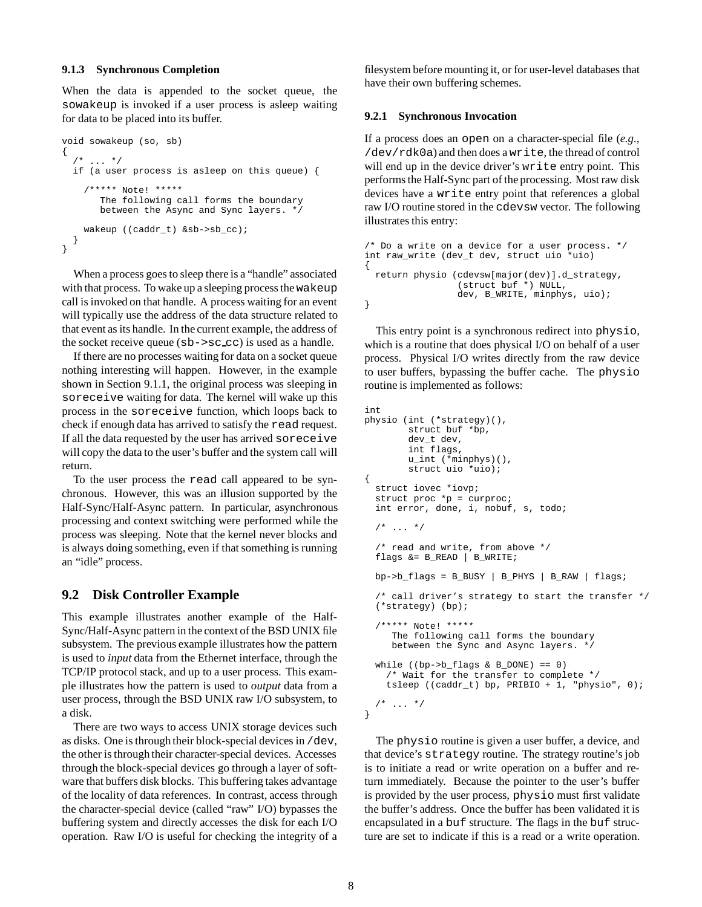#### **9.1.3 Synchronous Completion**

When the data is appended to the socket queue, the sowakeup is invoked if a user process is asleep waiting for data to be placed into its buffer.

```
void sowakeup (so, sb)
{
     \ldots */
 if (a user process is asleep on this queue) {
    /***** Note! *****
       The following call forms the boundary
       between the Async and Sync layers. */
    wakeup ((caddr_t) &sb->sb_cc);
  }
}
```
When a process goes to sleep there is a "handle" associated with that process. To wake up a sleeping process the wakeup call is invoked on that handle. A process waiting for an event will typically use the address of the data structure related to that event as its handle. In the current example, the address of the socket receive queue (sb->sc cc) is used as a handle.

If there are no processes waiting for data on a socket queue nothing interesting will happen. However, in the example shown in Section 9.1.1, the original process was sleeping in soreceive waiting for data. The kernel will wake up this process in the soreceive function, which loops back to check if enough data has arrived to satisfy the read request. If all the data requested by the user has arrived soreceive will copy the data to the user's buffer and the system call will return.

To the user process the read call appeared to be synchronous. However, this was an illusion supported by the Half-Sync/Half-Async pattern. In particular, asynchronous processing and context switching were performed while the process was sleeping. Note that the kernel never blocks and is always doing something, even if that something is running an "idle" process.

#### **9.2 Disk Controller Example**

This example illustrates another example of the Half-Sync/Half-Async pattern in the context of the BSD UNIX file subsystem. The previous example illustrates how the pattern is used to *input* data from the Ethernet interface, through the TCP/IP protocol stack, and up to a user process. This example illustrates how the pattern is used to *output* data from a user process, through the BSD UNIX raw I/O subsystem, to a disk.

There are two ways to access UNIX storage devices such as disks. One is through their block-special devices in /dev, the other is through their character-special devices. Accesses through the block-special devices go through a layer of software that buffers disk blocks. This buffering takes advantage of the locality of data references. In contrast, access through the character-special device (called "raw" I/O) bypasses the buffering system and directly accesses the disk for each I/O operation. Raw I/O is useful for checking the integrity of a

filesystem before mounting it, or for user-level databases that have their own buffering schemes.

#### **9.2.1 Synchronous Invocation**

If a process does an open on a character-special file (*e.g.,* /dev/rdk0a) and then does a write, the thread of control will end up in the device driver's write entry point. This performs the Half-Sync part of the processing. Most raw disk devices have a write entry point that references a global raw I/O routine stored in the cdevsw vector. The following illustrates this entry:

```
/* Do a write on a device for a user process. */
int raw_write (dev_t dev, struct uio *uio)
{
 return physio (cdevsw[major(dev)].d_strategy,
                 (struct buf *) NULL,
                 dev, B_WRITE, minphys, uio);
}
```
This entry point is a synchronous redirect into physio, which is a routine that does physical I/O on behalf of a user process. Physical I/O writes directly from the raw device to user buffers, bypassing the buffer cache. The physio routine is implemented as follows:

```
int
physio (int (*strategy)(),
        struct buf *bp,
        dev_t dev,
        int flags,
        u_int (*minphys)(),
        struct uio *uio);
{
 struct iovec *iovp;
 struct proc *p = curproc;
  int error, done, i, nobuf, s, todo;
  /* \dots *//* read and write, from above */
  flags &= B_READ | B_WRITE;
 bp \rightarrow b_{flags} = B_BUSY | B_PHYS | B_RAW | flags;
  /* call driver's strategy to start the transfer */
  (*strategy) (bp);
  /***** Note! *****
     The following call forms the boundary
     between the Sync and Async layers. */
  while ((bp->b_flags & B_DONE) == 0)
    /* Wait for the transfer to complete */
    tsleep ((caddr_t) bp, PRIBIO + 1, "physio", 0);
 /* ... */
```
The physio routine is given a user buffer, a device, and that device's strategy routine. The strategy routine's job is to initiate a read or write operation on a buffer and return immediately. Because the pointer to the user's buffer is provided by the user process, physio must first validate the buffer's address. Once the buffer has been validated it is encapsulated in a buf structure. The flags in the buf structure are set to indicate if this is a read or a write operation.

}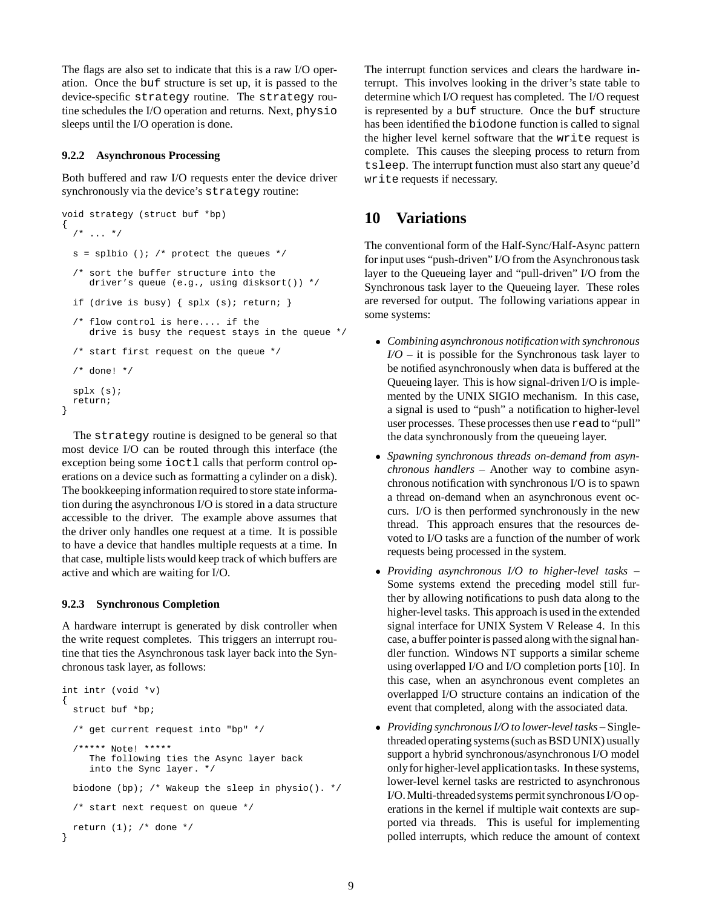The flags are also set to indicate that this is a raw I/O operation. Once the buf structure is set up, it is passed to the device-specific strategy routine. The strategy routine schedules the I/O operation and returns. Next, physio sleeps until the I/O operation is done.

#### **9.2.2 Asynchronous Processing**

Both buffered and raw I/O requests enter the device driver synchronously via the device's strategy routine:

```
void strategy (struct buf *bp)
{
  7 * ... * /s = splbio (); /* protect the queues */
  /* sort the buffer structure into the
     driver's queue (e.g., using disksort()) */
  if (drive is busy) { splx (s); return; }
  /* flow control is here.... if the
     drive is busy the request stays in the queue */
  /* start first request on the queue */
  /* done! */
  splx (s);
  return;
}
```
The strategy routine is designed to be general so that most device I/O can be routed through this interface (the exception being some ioctl calls that perform control operations on a device such as formatting a cylinder on a disk). The bookkeeping information required to store state information during the asynchronous I/O is stored in a data structure accessible to the driver. The example above assumes that the driver only handles one request at a time. It is possible to have a device that handles multiple requests at a time. In that case, multiple lists would keep track of which buffers are active and which are waiting for I/O.

#### **9.2.3 Synchronous Completion**

A hardware interrupt is generated by disk controller when the write request completes. This triggers an interrupt routine that ties the Asynchronous task layer back into the Synchronous task layer, as follows:

```
int intr (void *v)
{
  struct buf *bp;
  /* get current request into "bp" */
  /***** Note! *****
     The following ties the Async layer back
     into the Sync layer. */
 biodone (bp); /* Wakeup the sleep in physio(). */
  /* start next request on queue */
  return (1); /* done */
}
```
The interrupt function services and clears the hardware interrupt. This involves looking in the driver's state table to determine which I/O request has completed. The I/O request is represented by a buf structure. Once the buf structure has been identified the biodone function is called to signal the higher level kernel software that the write request is complete. This causes the sleeping process to return from tsleep. The interrupt function must also start any queue'd write requests if necessary.

## **10 Variations**

The conventional form of the Half-Sync/Half-Async pattern for input uses "push-driven" I/O from the Asynchronous task layer to the Queueing layer and "pull-driven" I/O from the Synchronous task layer to the Queueing layer. These roles are reversed for output. The following variations appear in some systems:

- *Combining asynchronous notificationwith synchronous I/O* – it is possible for the Synchronous task layer to be notified asynchronously when data is buffered at the Queueing layer. This is how signal-driven I/O is implemented by the UNIX SIGIO mechanism. In this case, a signal is used to "push" a notification to higher-level user processes. These processes then use read to "pull" the data synchronously from the queueing layer.
- *Spawning synchronous threads on-demand from asynchronous handlers* – Another way to combine asynchronous notification with synchronous I/O is to spawn a thread on-demand when an asynchronous event occurs. I/O is then performed synchronously in the new thread. This approach ensures that the resources devoted to I/O tasks are a function of the number of work requests being processed in the system.
- *Providing asynchronous I/O to higher-level tasks* Some systems extend the preceding model still further by allowing notifications to push data along to the higher-level tasks. This approach is used in the extended signal interface for UNIX System V Release 4. In this case, a buffer pointer is passed along with the signal handler function. Windows NT supports a similar scheme using overlapped I/O and I/O completion ports [10]. In this case, when an asynchronous event completes an overlapped I/O structure contains an indication of the event that completed, along with the associated data.
- *Providing synchronous I/O to lower-level tasks* Singlethreaded operating systems (such as BSD UNIX) usually support a hybrid synchronous/asynchronous I/O model onlyfor higher-level applicationtasks. In these systems, lower-level kernel tasks are restricted to asynchronous I/O. Multi-threaded systems permit synchronous I/O operations in the kernel if multiple wait contexts are supported via threads. This is useful for implementing polled interrupts, which reduce the amount of context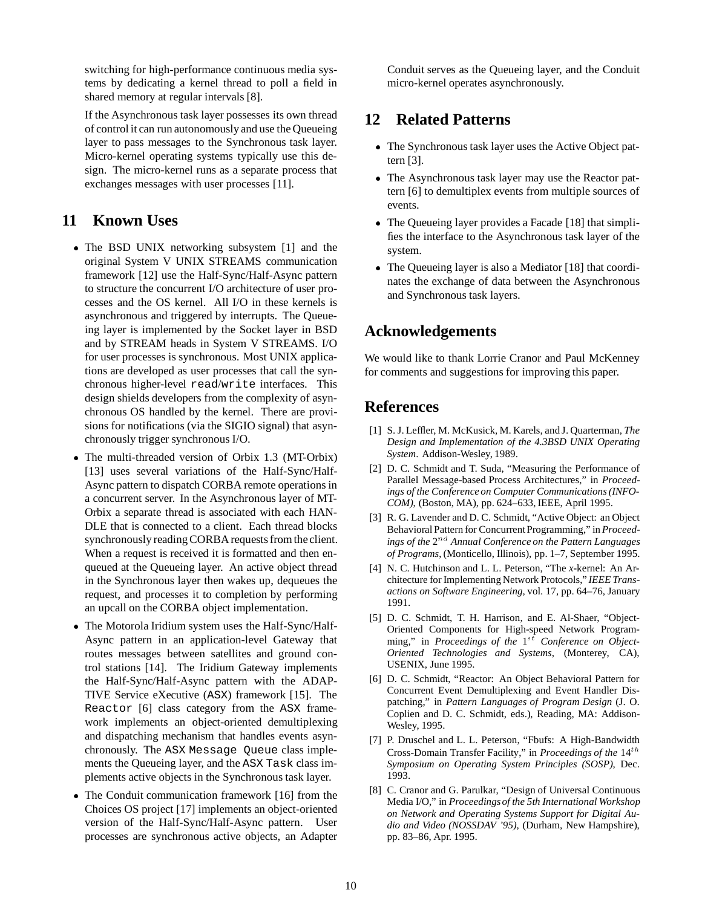switching for high-performance continuous media systems by dedicating a kernel thread to poll a field in shared memory at regular intervals [8].

If the Asynchronous task layer possesses its own thread of control it can run autonomously and use the Queueing layer to pass messages to the Synchronous task layer. Micro-kernel operating systems typically use this design. The micro-kernel runs as a separate process that exchanges messages with user processes [11].

## **11 Known Uses**

- The BSD UNIX networking subsystem [1] and the original System V UNIX STREAMS communication framework [12] use the Half-Sync/Half-Async pattern to structure the concurrent I/O architecture of user processes and the OS kernel. All I/O in these kernels is asynchronous and triggered by interrupts. The Queueing layer is implemented by the Socket layer in BSD and by STREAM heads in System V STREAMS. I/O for user processes is synchronous. Most UNIX applications are developed as user processes that call the synchronous higher-level read/write interfaces. This design shields developers from the complexity of asynchronous OS handled by the kernel. There are provisions for notifications (via the SIGIO signal) that asynchronously trigger synchronous I/O.
- The multi-threaded version of Orbix 1.3 (MT-Orbix) [13] uses several variations of the Half-Sync/Half-Async pattern to dispatch CORBA remote operations in a concurrent server. In the Asynchronous layer of MT-Orbix a separate thread is associated with each HAN-DLE that is connected to a client. Each thread blocks synchronously reading CORBA requests from the client. When a request is received it is formatted and then enqueued at the Queueing layer. An active object thread in the Synchronous layer then wakes up, dequeues the request, and processes it to completion by performing an upcall on the CORBA object implementation.
- The Motorola Iridium system uses the Half-Sync/Half-Async pattern in an application-level Gateway that routes messages between satellites and ground control stations [14]. The Iridium Gateway implements the Half-Sync/Half-Async pattern with the ADAP-TIVE Service eXecutive (ASX) framework [15]. The Reactor [6] class category from the ASX framework implements an object-oriented demultiplexing and dispatching mechanism that handles events asynchronously. The ASX Message Queue class implements the Queueing layer, and the ASX Task class implements active objects in the Synchronous task layer.
- The Conduit communication framework [16] from the Choices OS project [17] implements an object-oriented version of the Half-Sync/Half-Async pattern. User processes are synchronous active objects, an Adapter

Conduit serves as the Queueing layer, and the Conduit micro-kernel operates asynchronously.

## **12 Related Patterns**

- The Synchronous task layer uses the Active Object pattern [3].
- The Asynchronous task layer may use the Reactor pattern [6] to demultiplex events from multiple sources of events.
- The Queueing layer provides a Facade [18] that simplifies the interface to the Asynchronous task layer of the system.
- The Queueing layer is also a Mediator [18] that coordinates the exchange of data between the Asynchronous and Synchronous task layers.

## **Acknowledgements**

We would like to thank Lorrie Cranor and Paul McKenney for comments and suggestions for improving this paper.

## **References**

- [1] S. J. Leffler, M. McKusick, M. Karels, and J. Quarterman, *The Design and Implementation of the 4.3BSD UNIX Operating System*. Addison-Wesley, 1989.
- [2] D. C. Schmidt and T. Suda, "Measuring the Performance of Parallel Message-based Process Architectures," in *Proceedings of the Conference on Computer Communications (INFO-COM)*, (Boston, MA), pp. 624–633, IEEE, April 1995.
- [3] R. G. Lavender and D. C. Schmidt, "Active Object: an Object Behavioral Pattern for ConcurrentProgramming," in *Proceedings of the*  $2^{nd}$  *Annual Conference on the Pattern Languages of Programs*, (Monticello, Illinois), pp. 1–7, September 1995.
- [4] N. C. Hutchinson and L. L. Peterson, "The *x*-kernel: An Architecture for Implementing Network Protocols," *IEEE Transactions on Software Engineering*, vol. 17, pp. 64–76, January 1991.
- [5] D. C. Schmidt, T. H. Harrison, and E. Al-Shaer, "Object-Oriented Components for High-speed Network Programming," in *Proceedings of the*  $1^{st}$  *Conference on Object-Oriented Technologies and Systems*, (Monterey, CA), USENIX, June 1995.
- [6] D. C. Schmidt, "Reactor: An Object Behavioral Pattern for Concurrent Event Demultiplexing and Event Handler Dispatching," in *Pattern Languages of Program Design* (J. O. Coplien and D. C. Schmidt, eds.), Reading, MA: Addison-Wesley, 1995.
- [7] P. Druschel and L. L. Peterson, "Fbufs: A High-Bandwidth Cross-Domain Transfer Facility," in *Proceedings of the* 14th *Symposium on Operating System Principles (SOSP)*, Dec. 1993.
- [8] C. Cranor and G. Parulkar, "Design of Universal Continuous Media I/O," in *Proceedingsof the 5th International Workshop on Network and Operating Systems Support for Digital Audio and Video (NOSSDAV '95)*, (Durham, New Hampshire), pp. 83–86, Apr. 1995.